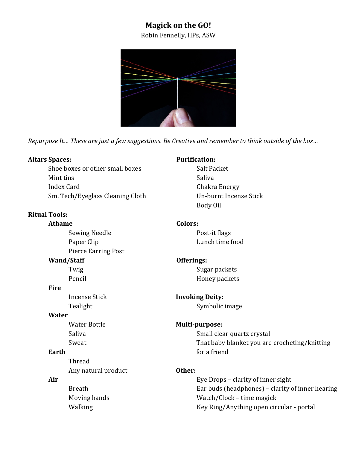# **Magick on the GO!**

# Robin Fennelly, HPs, ASW



*Repurpose It... These are just a few suggestions. Be Creative and remember to think outside of the box...* 

#### **Altars Spaces:**

Shoe boxes or other small boxes Mint tins Index Card Sm. Tech/Eyeglass Cleaning Cloth

# **Ritual Tools:**

**Athame**

Sewing Needle Paper Clip Pierce Earring Post

#### **Wand/Staff**

Twig Pencil 

#### **Fire**

Incense Stick Tealight

### **Water**

Water Bottle Saliva Sweat

### **Earth**

Thread Any natural product

### **Air**

Breath Moving hands Walking

### **Purification:**

Salt Packet Saliva Chakra Energy Un-burnt Incense Stick Body Oil

### **Colors:**

Post-it flags Lunch time food

# **Offerings:**

Sugar packets Honey packets

# **Invoking Deity:**

Symbolic image

### **Multi-purpose:**

Small clear quartz crystal That baby blanket you are crocheting/knitting for a friend

### **Other:**

Eye Drops - clarity of inner sight Ear buds (headphones)  $-$  clarity of inner hearing Watch/Clock - time magick Key Ring/Anything open circular - portal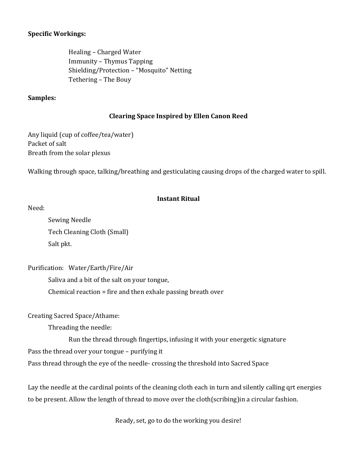### **Specific Workings:**

Healing – Charged Water Immunity – Thymus Tapping Shielding/Protection - "Mosquito" Netting Tethering - The Bouy

### **Samples:**

### **Clearing Space Inspired by Ellen Canon Reed**

Any liquid (cup of coffee/tea/water) Packet of salt Breath from the solar plexus

Walking through space, talking/breathing and gesticulating causing drops of the charged water to spill.

### **Instant Ritual**

Need:

Sewing Needle Tech Cleaning Cloth (Small) Salt pkt.

Purification: Water/Earth/Fire/Air 

Saliva and a bit of the salt on your tongue,

Chemical reaction  $=$  fire and then exhale passing breath over

Creating Sacred Space/Athame:

Threading the needle:

Run the thread through fingertips, infusing it with your energetic signature

Pass the thread over your tongue  $-$  purifying it

Pass thread through the eye of the needle-crossing the threshold into Sacred Space

Lay the needle at the cardinal points of the cleaning cloth each in turn and silently calling grt energies to be present. Allow the length of thread to move over the cloth(scribing) in a circular fashion.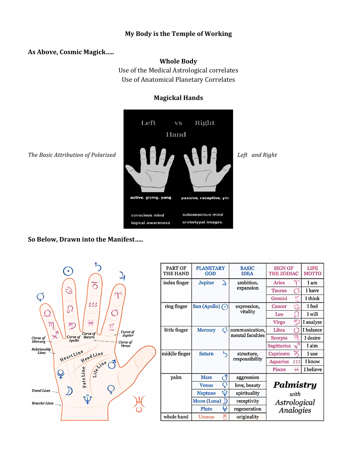### **My Body is the Temple of Working**

#### **As Above, Cosmic Magick…..**

#### **Whole Body**

Use of the Medical Astrological correlates Use of Anatomical Planetary Correlates

#### **Magickal Hands**



**So Below, Drawn into the Manifest.....** 

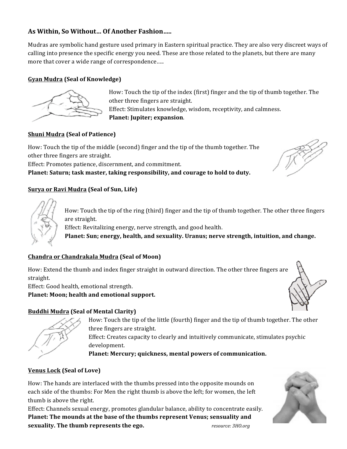# As Within, So Without... Of Another Fashion.....

Mudras are symbolic hand gesture used primary in Eastern spiritual practice. They are also very discreet ways of calling into presence the specific energy you need. These are those related to the planets, but there are many more that cover a wide range of correspondence.....

### **Gyan Mudra (Seal of Knowledge)**



How: Touch the tip of the index (first) finger and the tip of thumb together. The other three fingers are straight. Effect: Stimulates knowledge, wisdom, receptivity, and calmness. Planet: Jupiter; expansion.

### **Shuni Mudra (Seal of Patience)**

How: Touch the tip of the middle (second) finger and the tip of the thumb together. The other three fingers are straight.

Effect: Promotes patience, discernment, and commitment.

Planet: Saturn; task master, taking responsibility, and courage to hold to duty.

### **<u>Surya or Ravi Mudra</u>** (Seal of Sun, Life)



How: Touch the tip of the ring (third) finger and the tip of thumb together. The other three fingers are straight.

Effect: Revitalizing energy, nerve strength, and good health.

Planet: Sun; energy, health, and sexuality. Uranus; nerve strength, intuition, and change.

### **Chandra or Chandrakala Mudra (Seal of Moon)**

How: Extend the thumb and index finger straight in outward direction. The other three fingers are straight.

Effect: Good health, emotional strength.

Planet: Moon; health and emotional support.

### **Buddhi Mudra (Seal of Mental Clarity)**

How: Touch the tip of the little (fourth) finger and the tip of thumb together. The other three fingers are straight.

Effect: Creates capacity to clearly and intuitively communicate, stimulates psychic development.

Planet: Mercury; quickness, mental powers of communication.

### **Venus Lock (Seal of Love)**

How: The hands are interlaced with the thumbs pressed into the opposite mounds on each side of the thumbs: For Men the right thumb is above the left; for women, the left thumb is above the right.

Effect: Channels sexual energy, promotes glandular balance, ability to concentrate easily. **Planet: The mounds at the base of the thumbs represent Venus; sensuality and sexuality. The thumb represents the ego.** *resource: 3HO.org*